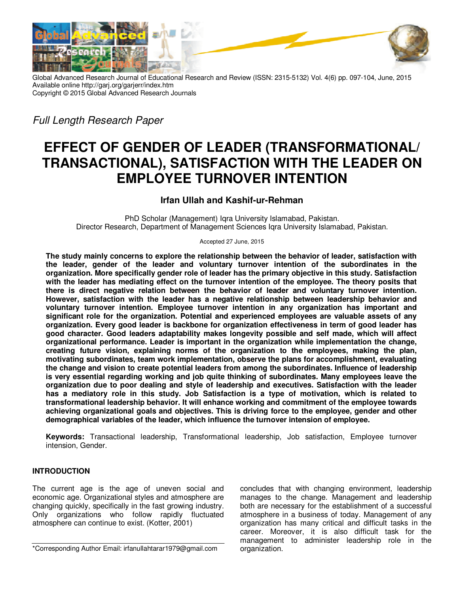

Global Advanced Research Journal of Educational Research and Review (ISSN: 2315-5132) Vol. 4(6) pp. 097-104, June, 2015 Available online http://garj.org/garjerr/index.htm Copyright © 2015 Global Advanced Research Journals

*Full Length Research Paper* 

# **EFFECT OF GENDER OF LEADER (TRANSFORMATIONAL/ TRANSACTIONAL), SATISFACTION WITH THE LEADER ON EMPLOYEE TURNOVER INTENTION**

# **Irfan Ullah and Kashif-ur-Rehman**

PhD Scholar (Management) Iqra University Islamabad, Pakistan. Director Research, Department of Management Sciences Iqra University Islamabad, Pakistan.

Accepted 27 June, 2015

**The study mainly concerns to explore the relationship between the behavior of leader, satisfaction with the leader, gender of the leader and voluntary turnover intention of the subordinates in the organization. More specifically gender role of leader has the primary objective in this study. Satisfaction with the leader has mediating effect on the turnover intention of the employee. The theory posits that there is direct negative relation between the behavior of leader and voluntary turnover intention. However, satisfaction with the leader has a negative relationship between leadership behavior and voluntary turnover intention. Employee turnover intention in any organization has important and significant role for the organization. Potential and experienced employees are valuable assets of any organization. Every good leader is backbone for organization effectiveness in term of good leader has good character. Good leaders adaptability makes longevity possible and self made, which will affect organizational performance. Leader is important in the organization while implementation the change, creating future vision, explaining norms of the organization to the employees, making the plan, motivating subordinates, team work implementation, observe the plans for accomplishment, evaluating the change and vision to create potential leaders from among the subordinates. Influence of leadership is very essential regarding working and job quite thinking of subordinates. Many employees leave the organization due to poor dealing and style of leadership and executives. Satisfaction with the leader has a mediatory role in this study. Job Satisfaction is a type of motivation, which is related to transformational leadership behavior. It will enhance working and commitment of the employee towards achieving organizational goals and objectives. This is driving force to the employee, gender and other demographical variables of the leader, which influence the turnover intension of employee.** 

**Keywords:** Transactional leadership, Transformational leadership, Job satisfaction, Employee turnover intension, Gender.

## **INTRODUCTION**

The current age is the age of uneven social and economic age. Organizational styles and atmosphere are changing quickly, specifically in the fast growing industry. Only organizations who follow rapidly fluctuated atmosphere can continue to exist. (Kotter, 2001)

concludes that with changing environment, leadership manages to the change. Management and leadership both are necessary for the establishment of a successful atmosphere in a business of today. Management of any organization has many critical and difficult tasks in the career. Moreover, it is also difficult task for the management to administer leadership role in the organization.

<sup>\*</sup>Corresponding Author Email: irfanullahtarar1979@gmail.com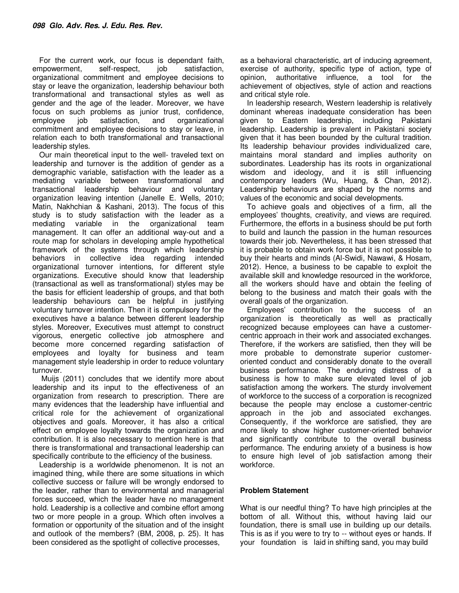For the current work, our focus is dependant faith, empowerment, self-respect, job satisfaction, organizational commitment and employee decisions to stay or leave the organization, leadership behaviour both transformational and transactional styles as well as gender and the age of the leader. Moreover, we have focus on such problems as junior trust, confidence, employee job satisfaction, and organizational commitment and employee decisions to stay or leave, in relation each to both transformational and transactional leadership styles.

Our main theoretical input to the well- traveled text on leadership and turnover is the addition of gender as a demographic variable, satisfaction with the leader as a mediating variable between transformational and transactional leadership behaviour and voluntary organization leaving intention (Janelle E. Wells, 2010; Matin, Nakhchian & Kashani, 2013). The focus of this study is to study satisfaction with the leader as a mediating variable in the organizational team management. It can offer an additional way-out and a route map for scholars in developing ample hypothetical framework of the systems through which leadership behaviors in collective idea regarding intended organizational turnover intentions, for different style organizations. Executive should know that leadership (transactional as well as transformational) styles may be the basis for efficient leadership of groups, and that both leadership behaviours can be helpful in justifying voluntary turnover intention. Then it is compulsory for the executives have a balance between different leadership styles. Moreover, Executives must attempt to construct vigorous, energetic collective job atmosphere and become more concerned regarding satisfaction of employees and loyalty for business and team management style leadership in order to reduce voluntary turnover.

 Muijs (2011) concludes that we identify more about leadership and its input to the effectiveness of an organization from research to prescription. There are many evidences that the leadership have influential and critical role for the achievement of organizational objectives and goals. Moreover, it has also a critical effect on employee loyalty towards the organization and contribution. It is also necessary to mention here is that there is transformational and transactional leadership can specifically contribute to the efficiency of the business.

Leadership is a worldwide phenomenon. It is not an imagined thing, while there are some situations in which collective success or failure will be wrongly endorsed to the leader, rather than to environmental and managerial forces succeed, which the leader have no management hold. Leadership is a collective and combine effort among two or more people in a group. Which often involves a formation or opportunity of the situation and of the insight and outlook of the members? (BM, 2008, p. 25). It has been considered as the spotlight of collective processes,

as a behavioral characteristic, art of inducing agreement, exercise of authority, specific type of action, type of opinion, authoritative influence, a tool for the achievement of objectives, style of action and reactions and critical style role.

In leadership research, Western leadership is relatively dominant whereas inadequate consideration has been given to Eastern leadership, including Pakistani leadership. Leadership is prevalent in Pakistani society given that it has been bounded by the cultural tradition. Its leadership behaviour provides individualized care, maintains moral standard and implies authority on subordinates. Leadership has its roots in organizational wisdom and ideology, and it is still influencing contemporary leaders (Wu, Huang, & Chan, 2012). Leadership behaviours are shaped by the norms and values of the economic and social developments.

To achieve goals and objectives of a firm, all the employees' thoughts, creativity, and views are required. Furthermore, the efforts in a business should be put forth to build and launch the passion in the human resources towards their job. Nevertheless, it has been stressed that it is probable to obtain work force but it is not possible to buy their hearts and minds (Al-Swidi, Nawawi, & Hosam, 2012). Hence, a business to be capable to exploit the available skill and knowledge resourced in the workforce, all the workers should have and obtain the feeling of belong to the business and match their goals with the overall goals of the organization.

Employees' contribution to the success of an organization is theoretically as well as practically recognized because employees can have a customercentric approach in their work and associated exchanges. Therefore, if the workers are satisfied, then they will be more probable to demonstrate superior customeroriented conduct and considerably donate to the overall business performance. The enduring distress of a business is how to make sure elevated level of job satisfaction among the workers. The sturdy involvement of workforce to the success of a corporation is recognized because the people may enclose a customer-centric approach in the job and associated exchanges. Consequently, if the workforce are satisfied, they are more likely to show higher customer-oriented behavior and significantly contribute to the overall business performance. The enduring anxiety of a business is how to ensure high level of job satisfaction among their workforce.

## **Problem Statement**

What is our needful thing? To have high principles at the bottom of all. Without this, without having laid our foundation, there is small use in building up our details. This is as if you were to try to -- without eyes or hands. If your foundation is laid in shifting sand, you may build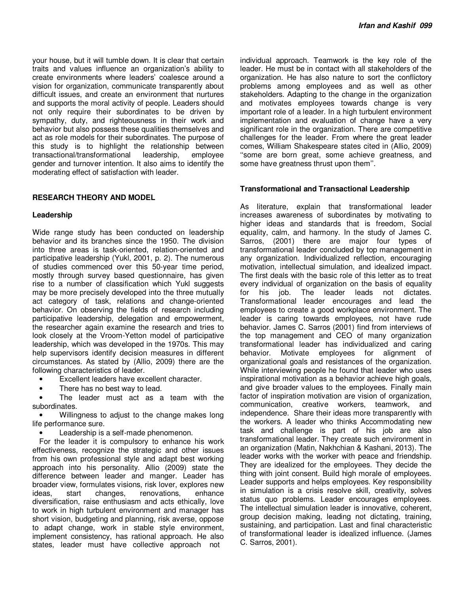your house, but it will tumble down. It is clear that certain traits and values influence an organization's ability to create environments where leaders' coalesce around a vision for organization, communicate transparently about difficult issues, and create an environment that nurtures and supports the moral activity of people. Leaders should not only require their subordinates to be driven by sympathy, duty, and righteousness in their work and behavior but also possess these qualities themselves and act as role models for their subordinates. The purpose of this study is to highlight the relationship between transactional/transformational leadership, employee gender and turnover intention. It also aims to identify the moderating effect of satisfaction with leader.

## **RESEARCH THEORY AND MODEL**

#### **Leadership**

Wide range study has been conducted on leadership behavior and its branches since the 1950. The division into three areas is task-oriented, relation-oriented and participative leadership (Yukl, 2001, p. 2). The numerous of studies commenced over this 50-year time period, mostly through survey based questionnaire, has given rise to a number of classification which Yukl suggests may be more precisely developed into the three mutually act category of task, relations and change-oriented behavior. On observing the fields of research including participative leadership, delegation and empowerment, the researcher again examine the research and tries to look closely at the Vroom-Yetton model of participative leadership, which was developed in the 1970s. This may help supervisors identify decision measures in different circumstances. As stated by (Allio, 2009) there are the following characteristics of leader.

- Excellent leaders have excellent character.
- There has no best way to lead.

• The leader must act as a team with the subordinates.

Willingness to adjust to the change makes long life performance sure.

Leadership is a self-made phenomenon.

For the leader it is compulsory to enhance his work effectiveness, recognize the strategic and other issues from his own professional style and adapt best working approach into his personality. Allio (2009) state the difference between leader and manger. Leader has broader view, formulates visions, risk lover, explores new ideas, start changes, renovations, enhance diversification, raise enthusiasm and acts ethically, love to work in high turbulent environment and manager has short vision, budgeting and planning, risk averse, oppose to adapt change, work in stable style environment, implement consistency, has rational approach. He also states, leader must have collective approach not

individual approach. Teamwork is the key role of the leader. He must be in contact with all stakeholders of the organization. He has also nature to sort the conflictory problems among employees and as well as other stakeholders. Adapting to the change in the organization and motivates employees towards change is very important role of a leader. In a high turbulent environment implementation and evaluation of change have a very significant role in the organization. There are competitive challenges for the leader. From where the great leader comes, William Shakespeare states cited in (Allio, 2009) ''some are born great, some achieve greatness, and some have greatness thrust upon them''.

## **Transformational and Transactional Leadership**

As literature, explain that transformational leader increases awareness of subordinates by motivating to higher ideas and standards that is freedom, Social equality, calm, and harmony. In the study of James C. Sarros, (2001) there are major four types of transformational leader concluded by top management in any organization. Individualized reflection, encouraging motivation, intellectual simulation, and idealized impact. The first deals with the basic role of this letter as to treat every individual of organization on the basis of equality for his job. The leader leads not dictates. Transformational leader encourages and lead the employees to create a good workplace environment. The leader is caring towards employees, not have rude behavior. James C. Sarros (2001) find from interviews of the top management and CEO of many organization transformational leader has individualized and caring behavior. Motivate employees for alignment of organizational goals and resistances of the organization. While interviewing people he found that leader who uses inspirational motivation as a behavior achieve high goals, and give broader values to the employees. Finally main factor of inspiration motivation are vision of organization, communication, creative workers, teamwork, and independence. Share their ideas more transparently with the workers. A leader who thinks Accommodating new task and challenge is part of his job are also transformational leader. They create such environment in an organization (Matin, Nakhchian & Kashani, 2013). The leader works with the worker with peace and friendship. They are idealized for the employees. They decide the thing with joint consent. Build high morale of employees. Leader supports and helps employees. Key responsibility in simulation is a crisis resolve skill, creativity, solves status quo problems. Leader encourages employees. The intellectual simulation leader is innovative, coherent, group decision making, leading not dictating, training, sustaining, and participation. Last and final characteristic of transformational leader is idealized influence. (James C. Sarros, 2001).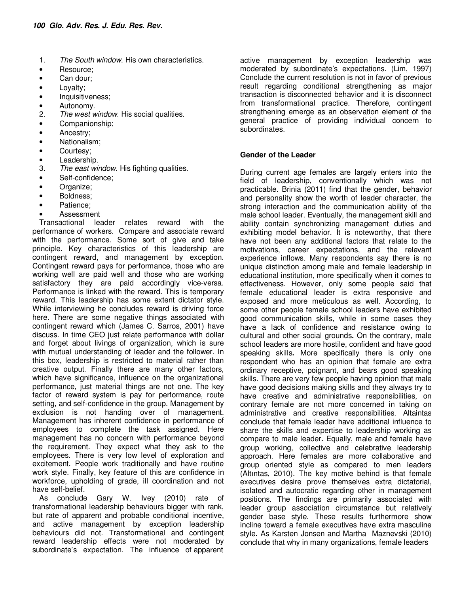- 1. *The South window*. His own characteristics.
- Resource:
- Can dour;
- Loyalty;
- Inquisitiveness;
- Autonomy.<br>2. The west w
- 2. *The west window*. His social qualities.
- Companionship;
- Ancestry;
- Nationalism;
- Courtesy;
- Leadership.
- 3. *The east window*. His fighting qualities.
- Self-confidence;
- Organize;
- Boldness;
- Patience;
- **Assessment**

Transactional leader relates reward with the performance of workers. Compare and associate reward with the performance. Some sort of give and take principle. Key characteristics of this leadership are contingent reward, and management by exception. Contingent reward pays for performance, those who are working well are paid well and those who are working satisfactory they are paid accordingly vice-versa. Performance is linked with the reward. This is temporary reward. This leadership has some extent dictator style. While interviewing he concludes reward is driving force here. There are some negative things associated with contingent reward which (James C. Sarros, 2001) have discuss. In time CEO just relate performance with dollar and forget about livings of organization, which is sure with mutual understanding of leader and the follower. In this box, leadership is restricted to material rather than creative output. Finally there are many other factors, which have significance, influence on the organizational performance, just material things are not one. The key factor of reward system is pay for performance, route setting, and self-confidence in the group. Management by exclusion is not handing over of management. Management has inherent confidence in performance of employees to complete the task assigned. Here management has no concern with performance beyond the requirement. They expect what they ask to the employees. There is very low level of exploration and excitement. People work traditionally and have routine work style. Finally, key feature of this are confidence in workforce, upholding of grade, ill coordination and not have self-belief.

As conclude Gary W. Ivey (2010) rate of transformational leadership behaviours bigger with rank, but rate of apparent and probable conditional incentive, and active management by exception leadership behaviours did not. Transformational and contingent reward leadership effects were not moderated by subordinate's expectation. The influence of apparent

active management by exception leadership was moderated by subordinate's expectations. (Lim, 1997) Conclude the current resolution is not in favor of previous result regarding conditional strengthening as major transaction is disconnected behavior and it is disconnect from transformational practice. Therefore, contingent strengthening emerge as an observation element of the general practice of providing individual concern to subordinates.

## **Gender of the Leader**

During current age females are largely enters into the field of leadership, conventionally which was not practicable. Brinia (2011) find that the gender, behavior and personality show the worth of leader character, the strong interaction and the communication ability of the male school leader. Eventually, the management skill and ability contain synchronizing management duties and exhibiting model behavior. It is noteworthy, that there have not been any additional factors that relate to the motivations, career expectations, and the relevant experience inflows. Many respondents say there is no unique distinction among male and female leadership in educational institution, more specifically when it comes to effectiveness. However, only some people said that female educational leader is extra responsive and exposed and more meticulous as well. According, to some other people female school leaders have exhibited good communication skills, while in some cases they have a lack of confidence and resistance owing to cultural and other social grounds**.** On the contrary, male school leaders are more hostile, confident and have good speaking skills**.** More specifically there is only one respondent who has an opinion that female are extra ordinary receptive, poignant, and bears good speaking skills. There are very few people having opinion that male have good decisions making skills and they always try to have creative and administrative responsibilities, on contrary female are not more concerned in taking on administrative and creative responsibilities. Altaintas conclude that female leader have additional influence to share the skills and expertise to leadership working as compare to male leader**.** Equally, male and female have group working, collective and celebrative leadership approach. Here females are more collaborative and group oriented style as compared to men leaders (Altıntas, 2010). The key motive behind is that female executives desire prove themselves extra dictatorial, isolated and autocratic regarding other in management positions. The findings are primarily associated with leader group association circumstance but relatively gender base style. These results furthermore show incline toward a female executives have extra masculine style**.** As Karsten Jonsen and Martha Maznevski (2010) conclude that why in many organizations, female leaders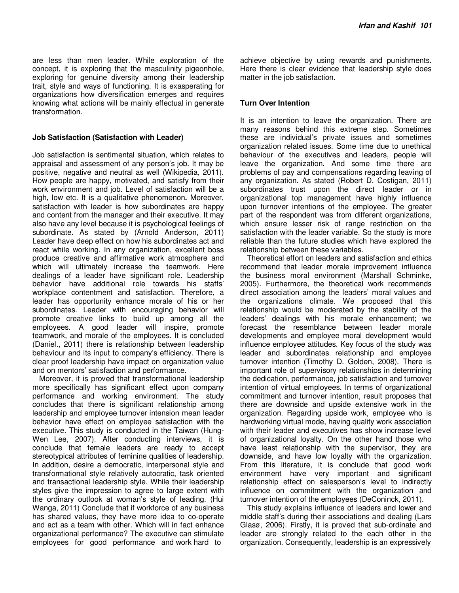are less than men leader. While exploration of the concept, it is exploring that the masculinity pigeonhole, exploring for genuine diversity among their leadership trait, style and ways of functioning. It is exasperating for organizations how diversification emerges and requires knowing what actions will be mainly effectual in generate transformation.

#### **Job Satisfaction (Satisfaction with Leader)**

Job satisfaction is sentimental situation, which relates to appraisal and assessment of any person's job. It may be positive, negative and neutral as well (Wikipedia, 2011). How people are happy, motivated, and satisfy from their work environment and job. Level of satisfaction will be a high, low etc. It is a qualitative phenomenon**.** Moreover, satisfaction with leader is how subordinates are happy and content from the manager and their executive. It may also have any level because it is psychological feelings of subordinate. As stated by (Arnold Anderson, 2011) Leader have deep effect on how his subordinates act and react while working. In any organization, excellent boss produce creative and affirmative work atmosphere and which will ultimately increase the teamwork. Here dealings of a leader have significant role. Leadership behavior have additional role towards his staffs' workplace contentment and satisfaction. Therefore, a leader has opportunity enhance morale of his or her subordinates. Leader with encouraging behavior will promote creative links to build up among all the employees. A good leader will inspire, promote teamwork, and morale of the employees. It is concluded (Daniel., 2011) there is relationship between leadership behaviour and its input to company's efficiency. There is clear proof leadership have impact on organization value and on mentors' satisfaction and performance.

Moreover, it is proved that transformational leadership more specifically has significant effect upon company performance and working environment. The study concludes that there is significant relationship among leadership and employee turnover intension mean leader behavior have effect on employee satisfaction with the executive. This study is conducted in the Taiwan (Hung-Wen Lee, 2007). After conducting interviews, it is conclude that female leaders are ready to accept stereotypical attributes of feminine qualities of leadership. In addition, desire a democratic, interpersonal style and transformational style relatively autocratic, task oriented and transactional leadership style. While their leadership styles give the impression to agree to large extent with the ordinary outlook at woman's style of leading. (Hui Wanga, 2011) Conclude that if workforce of any business has shared values, they have more idea to co-operate and act as a team with other. Which will in fact enhance organizational performance? The executive can stimulate employees for good performance and work hard to

achieve objective by using rewards and punishments. Here there is clear evidence that leadership style does matter in the job satisfaction.

## **Turn Over Intention**

It is an intention to leave the organization. There are many reasons behind this extreme step. Sometimes these are individual's private issues and sometimes organization related issues. Some time due to unethical behaviour of the executives and leaders, people will leave the organization. And some time there are problems of pay and compensations regarding leaving of any organization. As stated (Robert D. Costigan, 2011) subordinates trust upon the direct leader or in organizational top management have highly influence upon turnover intentions of the employee. The greater part of the respondent was from different organizations. which ensure lesser risk of range restriction on the satisfaction with the leader variable. So the study is more reliable than the future studies which have explored the relationship between these variables.

Theoretical effort on leaders and satisfaction and ethics recommend that leader morale improvement influence the business moral environment (Marshall Schminke, 2005). Furthermore, the theoretical work recommends direct association among the leaders' moral values and the organizations climate. We proposed that this relationship would be moderated by the stability of the leaders' dealings with his morale enhancement; we forecast the resemblance between leader morale developments and employee moral development would influence employee attitudes. Key focus of the study was leader and subordinates relationship and employee turnover intention (Timothy D. Golden, 2008). There is important role of supervisory relationships in determining the dedication, performance, job satisfaction and turnover intention of virtual employees. In terms of organizational commitment and turnover intention, result proposes that there are downside and upside extensive work in the organization. Regarding upside work, employee who is hardworking virtual mode, having quality work association with their leader and executives has show increase level of organizational loyalty. On the other hand those who have least relationship with the supervisor, they are downside, and have low loyalty with the organization. From this literature, it is conclude that good work environment have very important and significant relationship effect on salesperson's level to indirectly influence on commitment with the organization and turnover intention of the employees (DeConinck, 2011).

This study explains influence of leaders and lower and middle staff's during their associations and dealing (Lars Glasø, 2006). Firstly, it is proved that sub-ordinate and leader are strongly related to the each other in the organization. Consequently, leadership is an expressively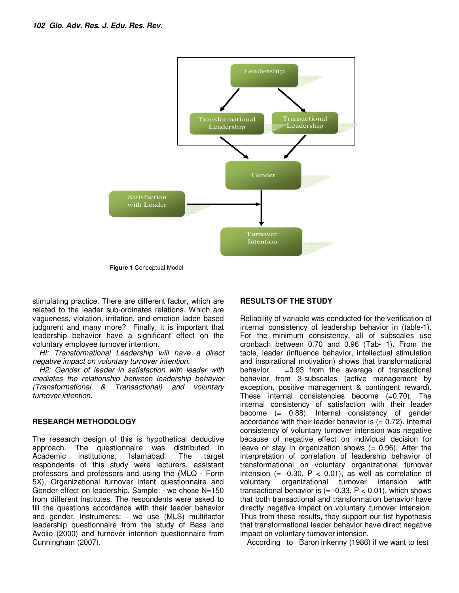

**Figure 1** Conceptual Model

stimulating practice. There are different factor, which are related to the leader sub-ordinates relations. Which are vagueness, violation, irritation, and emotion laden based judgment and many more? Finally, it is important that leadership behavior have a significant effect on the voluntary employee turnover intention.

*HI: Transformational Leadership will have a direct negative impact on voluntary turnover intention.* 

*H2: Gender of leader in satisfaction with leader with mediates the relationship between leadership behavior (Transformational & Transactional) and voluntary turnover intention.* 

## **RESEARCH METHODOLOGY**

The research design of this is hypothetical deductive approach. The questionnaire was distributed in Academic institutions. Islamabad. The target respondents of this study were lecturers, assistant professors and professors and using the (MLQ - Form 5X), Organizational turnover intent questionnaire and Gender effect on leadership. Sample: - we chose N=150 from different institutes. The respondents were asked to fill the questions accordance with their leader behavior and gender. Instruments: - we use (MLS) multifactor leadership questionnaire from the study of Bass and Avolio (2000) and turnover intention questionnaire from Cunningham (2007).

## **RESULTS OF THE STUDY**

Reliability of variable was conducted for the verification of internal consistency of leadership behavior in (table-1). For the minimum consistency, all of subscales use cronbach between 0.70 and 0.96 (Tab- 1). From the table, leader (influence behavior, intellectual stimulation and inspirational motivation) shows that transformational behavior  $=0.93$  from the average of transactional behavior from 3-subscales (active management by exception, positive management & contingent reward). These internal consistencies become (=0.70). The internal consistency of satisfaction with their leader become (= 0.88). Internal consistency of gender accordance with their leader behavior is  $(= 0.72)$ . Internal consistency of voluntary turnover intension was negative because of negative effect on individual decision for leave or stay in organization shows  $(= 0.96)$ . After the interpretation of correlation of leadership behavior of transformational on voluntary organizational turnover intension (=  $-0.30$ , P < 0.01), as well as correlation of voluntary organizational turnover intension with transactional behavior is  $(= -0.33, P < 0.01)$ , which shows that both transactional and transformation behavior have directly negative impact on voluntary turnover intension. Thus from these results, they support our fist hypothesis that transformational leader behavior have direct negative impact on voluntary turnover intension.

According to Baron inkenny (1986) if we want to test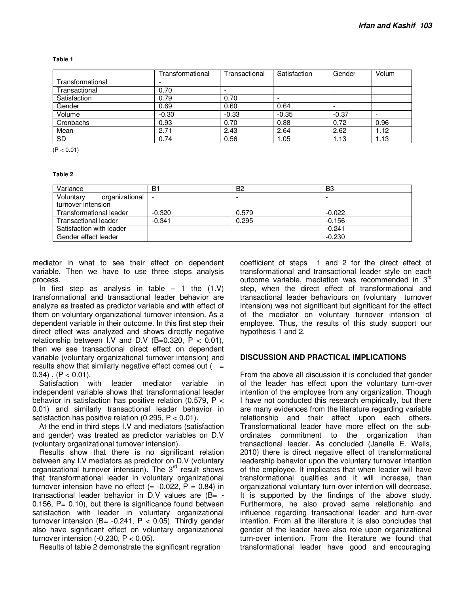**Table 1** 

|                  | Transformational | Transactional | Satisfaction | Gender  | Volum |
|------------------|------------------|---------------|--------------|---------|-------|
| Transformational |                  |               |              |         |       |
| Transactional    | 0.70             |               |              |         |       |
| Satisfaction     | 0.79             | 0.70          |              |         |       |
| Gender           | 0.69             | 0.60          | 0.64         | -       |       |
| Volume           | $-0.30$          | $-0.33$       | $-0.35$      | $-0.37$ |       |
| Cronbachs        | 0.93             | 0.70          | 0.88         | 0.72    | 0.96  |
| Mean             | 2.71             | 2.43          | 2.64         | 2.62    | 1.12  |
| SD               | 0.74             | 0.56          | 1.05         | 1.13    | 1.13  |

 $(P < 0.01)$ 

#### **Table 2**

| Variance                    | B1       | B <sub>2</sub> | B <sub>3</sub> |
|-----------------------------|----------|----------------|----------------|
| Voluntary<br>organizational |          |                |                |
| turnover intension          |          |                |                |
| Transformational leader     | $-0.320$ | 0.579          | $-0.022$       |
| Transactional leader        | $-0.341$ | 0.295          | $-0.156$       |
| Satisfaction with leader    |          |                | $-0.241$       |
| Gender effect leader        |          |                | $-0.230$       |

mediator in what to see their effect on dependent variable. Then we have to use three steps analysis process.

In first step as analysis in table  $-1$  the  $(1.V)$ transformational and transactional leader behavior are analyze as treated as predictor variable and with effect of them on voluntary organizational turnover intension. As a dependent variable in their outcome. In this first step their direct effect was analyzed and shows directly negative relationship between I.V and D.V (B=0.320,  $P < 0.01$ ), then we see transactional direct effect on dependent variable (voluntary organizational turnover intension) and results show that similarly negative effect comes out  $($  =  $(0.34)$ ,  $(P < 0.01)$ .

Satisfaction with leader mediator variable in independent variable shows that transformational leader behavior in satisfaction has positive relation (0.579, P < 0.01) and similarly transactional leader behavior in satisfaction has positive relation (0.295,  $P < 0.01$ ).

At the end in third steps I.V and mediators (satisfaction and gender) was treated as predictor variables on D.V (voluntary organizational turnover intension).

Results show that there is no significant relation between any I.V mediators as predictor on D.V (voluntary organizational turnover intension). The 3<sup>rd</sup> result shows that transformational leader in voluntary organizational turnover intension have no effect  $(= -0.022, P = 0.84)$  in transactional leader behavior in D.V values are  $(B= 0.156$ ,  $P = 0.10$ , but there is significance found between satisfaction with leader in voluntary organizational turnover intension (B=  $-0.241$ , P < 0.05). Thirdly gender also have significant effect on voluntary organizational turnover intension  $(-0.230, P < 0.05)$ .

Results of table 2 demonstrate the significant regration

coefficient of steps 1 and 2 for the direct effect of transformational and transactional leader style on each outcome variable, mediation was recommended in 3<sup>rd</sup> step, when the direct effect of transformational and transactional leader behaviours on (voluntary turnover intension) was not significant but significant for the effect of the mediator on voluntary turnover intension of employee. Thus, the results of this study support our hypothesis 1 and 2.

#### **DISCUSSION AND PRACTICAL IMPLICATIONS**

From the above all discussion it is concluded that gender of the leader has effect upon the voluntary turn-over intention of the employee from any organization. Though I have not conducted this research empirically, but there are many evidences from the literature regarding variable relationship and their effect upon each others. Transformational leader have more effect on the subordinates commitment to the organization than transactional leader. As concluded (Janelle E. Wells, 2010) there is direct negative effect of transformational leadership behavior upon the voluntary turnover intention of the employee. It implicates that when leader will have transformational qualities and it will increase, than organizational voluntary turn-over intention will decrease. It is supported by the findings of the above study. Furthermore, he also proved same relationship and influence regarding transactional leader and turn-over intention. From all the literature it is also concludes that gender of the leader have also role upon organizational turn-over intention. From the literature we found that transformational leader have good and encouraging